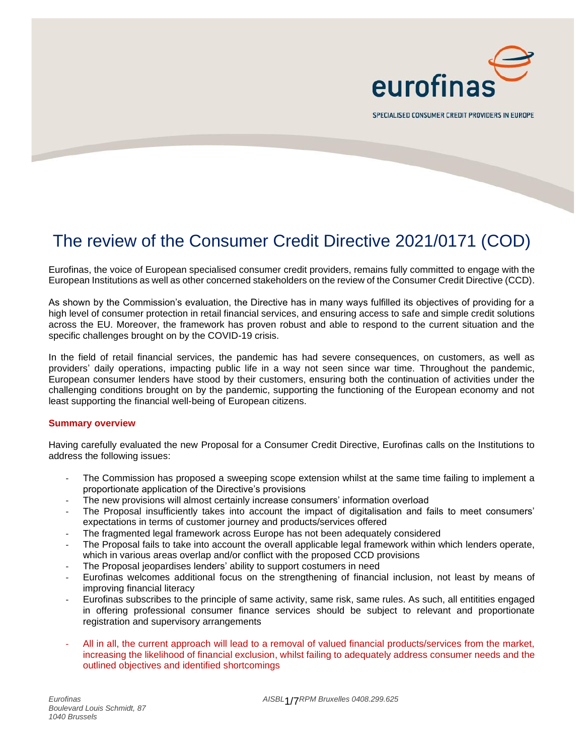

SPECIALISED CONSUMER CREDIT PROVIDERS IN EUROPE

# The review of the Consumer Credit Directive 2021/0171 (COD)

Eurofinas, the voice of European specialised consumer credit providers, remains fully committed to engage with the European Institutions as well as other concerned stakeholders on the review of the Consumer Credit Directive (CCD).

As shown by the Commission's evaluation, the Directive has in many ways fulfilled its objectives of providing for a high level of consumer protection in retail financial services, and ensuring access to safe and simple credit solutions across the EU. Moreover, the framework has proven robust and able to respond to the current situation and the specific challenges brought on by the COVID-19 crisis.

In the field of retail financial services, the pandemic has had severe consequences, on customers, as well as providers' daily operations, impacting public life in a way not seen since war time. Throughout the pandemic, European consumer lenders have stood by their customers, ensuring both the continuation of activities under the challenging conditions brought on by the pandemic, supporting the functioning of the European economy and not least supporting the financial well-being of European citizens.

#### **Summary overview**

Having carefully evaluated the new Proposal for a Consumer Credit Directive, Eurofinas calls on the Institutions to address the following issues:

- The Commission has proposed a sweeping scope extension whilst at the same time failing to implement a proportionate application of the Directive's provisions
- The new provisions will almost certainly increase consumers' information overload
- The Proposal insufficiently takes into account the impact of digitalisation and fails to meet consumers' expectations in terms of customer journey and products/services offered
- The fragmented legal framework across Europe has not been adequately considered
- The Proposal fails to take into account the overall applicable legal framework within which lenders operate, which in various areas overlap and/or conflict with the proposed CCD provisions
- The Proposal jeopardises lenders' ability to support costumers in need
- Eurofinas welcomes additional focus on the strengthening of financial inclusion, not least by means of improving financial literacy
- Eurofinas subscribes to the principle of same activity, same risk, same rules. As such, all entitities engaged in offering professional consumer finance services should be subject to relevant and proportionate registration and supervisory arrangements
- All in all, the current approach will lead to a removal of valued financial products/services from the market, increasing the likelihood of financial exclusion, whilst failing to adequately address consumer needs and the outlined objectives and identified shortcomings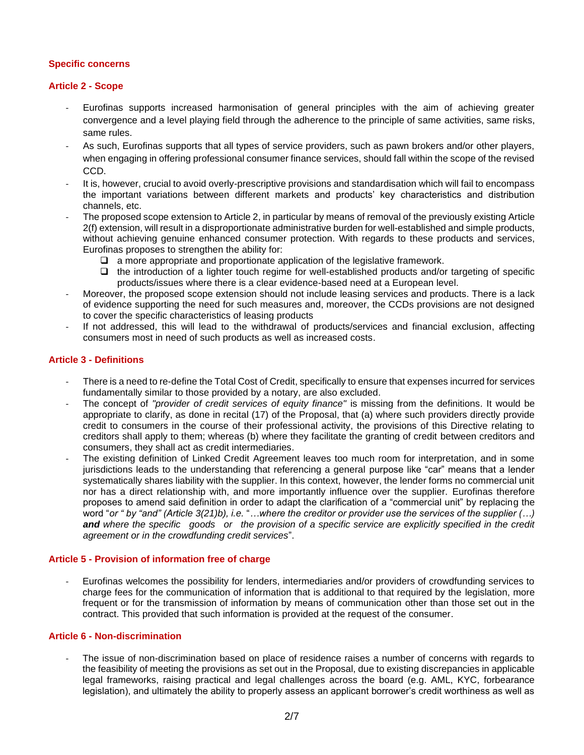# **Specific concerns**

# **Article 2 - Scope**

- Eurofinas supports increased harmonisation of general principles with the aim of achieving greater convergence and a level playing field through the adherence to the principle of same activities, same risks, same rules.
- As such, Eurofinas supports that all types of service providers, such as pawn brokers and/or other players, when engaging in offering professional consumer finance services, should fall within the scope of the revised CCD.
- It is, however, crucial to avoid overly-prescriptive provisions and standardisation which will fail to encompass the important variations between different markets and products' key characteristics and distribution channels, etc.
- The proposed scope extension to Article 2, in particular by means of removal of the previously existing Article 2(f) extension, will result in a disproportionate administrative burden for well-established and simple products, without achieving genuine enhanced consumer protection. With regards to these products and services, Eurofinas proposes to strengthen the ability for:
	- ❑ a more appropriate and proportionate application of the legislative framework.
	- ❑ the introduction of a lighter touch regime for well-established products and/or targeting of specific products/issues where there is a clear evidence-based need at a European level.
- Moreover, the proposed scope extension should not include leasing services and products. There is a lack of evidence supporting the need for such measures and, moreover, the CCDs provisions are not designed to cover the specific characteristics of leasing products
- If not addressed, this will lead to the withdrawal of products/services and financial exclusion, affecting consumers most in need of such products as well as increased costs.

# **Article 3 - Definitions**

- There is a need to re-define the Total Cost of Credit, specifically to ensure that expenses incurred for services fundamentally similar to those provided by a notary, are also excluded.
- The concept of "provider of credit services of equity finance" is missing from the definitions. It would be appropriate to clarify, as done in recital (17) of the Proposal, that (a) where such providers directly provide credit to consumers in the course of their professional activity, the provisions of this Directive relating to creditors shall apply to them; whereas (b) where they facilitate the granting of credit between creditors and consumers, they shall act as credit intermediaries.
- The existing definition of Linked Credit Agreement leaves too much room for interpretation, and in some jurisdictions leads to the understanding that referencing a general purpose like "car" means that a lender systematically shares liability with the supplier. In this context, however, the lender forms no commercial unit nor has a direct relationship with, and more importantly influence over the supplier. Eurofinas therefore proposes to amend said definition in order to adapt the clarification of a "commercial unit" by replacing the word "*or " by "and" (Article 3(21)b), i.e.* "*…where the creditor or provider use the services of the supplier (…) and where the specific goods or the provision of a specific service are explicitly specified in the credit agreement or in the crowdfunding credit services*".

#### **Article 5 - Provision of information free of charge**

- Eurofinas welcomes the possibility for lenders, intermediaries and/or providers of crowdfunding services to charge fees for the communication of information that is additional to that required by the legislation, more frequent or for the transmission of information by means of communication other than those set out in the contract. This provided that such information is provided at the request of the consumer.

#### **Article 6 - Non-discrimination**

The issue of non-discrimination based on place of residence raises a number of concerns with regards to the feasibility of meeting the provisions as set out in the Proposal, due to existing discrepancies in applicable legal frameworks, raising practical and legal challenges across the board (e.g. AML, KYC, forbearance legislation), and ultimately the ability to properly assess an applicant borrower's credit worthiness as well as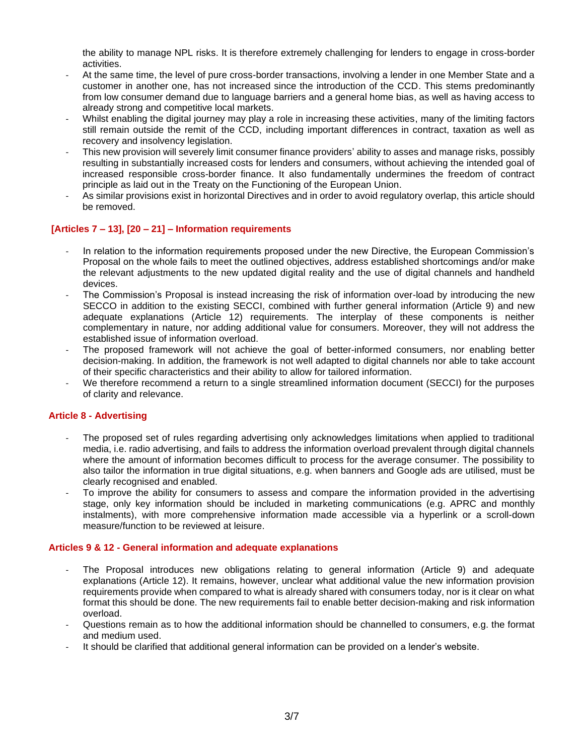the ability to manage NPL risks. It is therefore extremely challenging for lenders to engage in cross-border activities.

- At the same time, the level of pure cross-border transactions, involving a lender in one Member State and a customer in another one, has not increased since the introduction of the CCD. This stems predominantly from low consumer demand due to language barriers and a general home bias, as well as having access to already strong and competitive local markets.
- Whilst enabling the digital journey may play a role in increasing these activities, many of the limiting factors still remain outside the remit of the CCD, including important differences in contract, taxation as well as recovery and insolvency legislation.
- This new provision will severely limit consumer finance providers' ability to asses and manage risks, possibly resulting in substantially increased costs for lenders and consumers, without achieving the intended goal of increased responsible cross-border finance. It also fundamentally undermines the freedom of contract principle as laid out in the Treaty on the Functioning of the European Union.
- As similar provisions exist in horizontal Directives and in order to avoid regulatory overlap, this article should be removed.

# **[Articles 7 – 13], [20 – 21] – Information requirements**

- In relation to the information requirements proposed under the new Directive, the European Commission's Proposal on the whole fails to meet the outlined objectives, address established shortcomings and/or make the relevant adjustments to the new updated digital reality and the use of digital channels and handheld devices.
- The Commission's Proposal is instead increasing the risk of information over-load by introducing the new SECCO in addition to the existing SECCI, combined with further general information (Article 9) and new adequate explanations (Article 12) requirements. The interplay of these components is neither complementary in nature, nor adding additional value for consumers. Moreover, they will not address the established issue of information overload.
- The proposed framework will not achieve the goal of better-informed consumers, nor enabling better decision-making. In addition, the framework is not well adapted to digital channels nor able to take account of their specific characteristics and their ability to allow for tailored information.
- We therefore recommend a return to a single streamlined information document (SECCI) for the purposes of clarity and relevance.

#### **Article 8 - Advertising**

- The proposed set of rules regarding advertising only acknowledges limitations when applied to traditional media, i.e. radio advertising, and fails to address the information overload prevalent through digital channels where the amount of information becomes difficult to process for the average consumer. The possibility to also tailor the information in true digital situations, e.g. when banners and Google ads are utilised, must be clearly recognised and enabled.
- To improve the ability for consumers to assess and compare the information provided in the advertising stage, only key information should be included in marketing communications (e.g. APRC and monthly instalments), with more comprehensive information made accessible via a hyperlink or a scroll-down measure/function to be reviewed at leisure.

#### **Articles 9 & 12 - General information and adequate explanations**

- The Proposal introduces new obligations relating to general information (Article 9) and adequate explanations (Article 12). It remains, however, unclear what additional value the new information provision requirements provide when compared to what is already shared with consumers today, nor is it clear on what format this should be done. The new requirements fail to enable better decision-making and risk information overload.
- Questions remain as to how the additional information should be channelled to consumers, e.g. the format and medium used.
- It should be clarified that additional general information can be provided on a lender's website.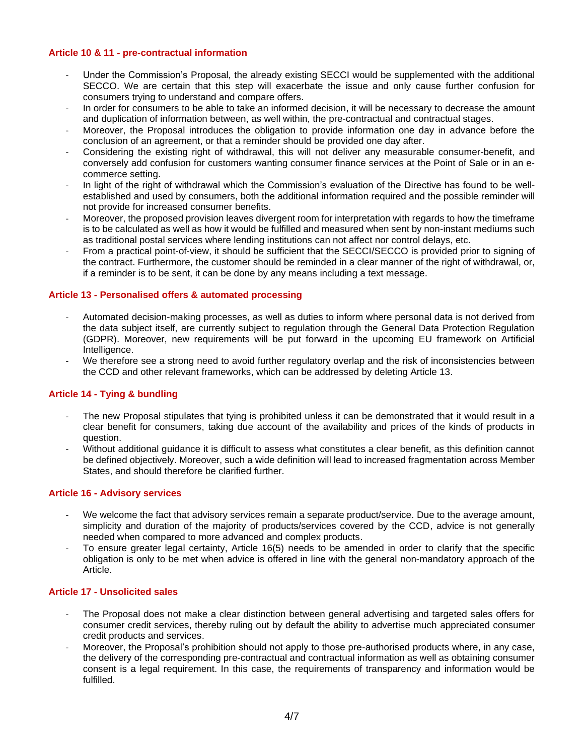# **Article 10 & 11 - pre-contractual information**

- Under the Commission's Proposal, the already existing SECCI would be supplemented with the additional SECCO. We are certain that this step will exacerbate the issue and only cause further confusion for consumers trying to understand and compare offers.
- In order for consumers to be able to take an informed decision, it will be necessary to decrease the amount and duplication of information between, as well within, the pre-contractual and contractual stages.
- Moreover, the Proposal introduces the obligation to provide information one day in advance before the conclusion of an agreement, or that a reminder should be provided one day after.
- Considering the existing right of withdrawal, this will not deliver any measurable consumer-benefit, and conversely add confusion for customers wanting consumer finance services at the Point of Sale or in an ecommerce setting.
- In light of the right of withdrawal which the Commission's evaluation of the Directive has found to be wellestablished and used by consumers, both the additional information required and the possible reminder will not provide for increased consumer benefits.
- Moreover, the proposed provision leaves divergent room for interpretation with regards to how the timeframe is to be calculated as well as how it would be fulfilled and measured when sent by non-instant mediums such as traditional postal services where lending institutions can not affect nor control delays, etc.
- From a practical point-of-view, it should be sufficient that the SECCI/SECCO is provided prior to signing of the contract. Furthermore, the customer should be reminded in a clear manner of the right of withdrawal, or, if a reminder is to be sent, it can be done by any means including a text message.

# **Article 13 - Personalised offers & automated processing**

- Automated decision-making processes, as well as duties to inform where personal data is not derived from the data subject itself, are currently subject to regulation through the General Data Protection Regulation (GDPR). Moreover, new requirements will be put forward in the upcoming EU framework on Artificial Intelligence.
- We therefore see a strong need to avoid further regulatory overlap and the risk of inconsistencies between the CCD and other relevant frameworks, which can be addressed by deleting Article 13.

#### **Article 14 - Tying & bundling**

- The new Proposal stipulates that tying is prohibited unless it can be demonstrated that it would result in a clear benefit for consumers, taking due account of the availability and prices of the kinds of products in question.
- Without additional guidance it is difficult to assess what constitutes a clear benefit, as this definition cannot be defined objectively. Moreover, such a wide definition will lead to increased fragmentation across Member States, and should therefore be clarified further.

#### **Article 16 - Advisory services**

- We welcome the fact that advisory services remain a separate product/service. Due to the average amount, simplicity and duration of the majority of products/services covered by the CCD, advice is not generally needed when compared to more advanced and complex products.
- To ensure greater legal certainty, Article 16(5) needs to be amended in order to clarify that the specific obligation is only to be met when advice is offered in line with the general non-mandatory approach of the Article.

#### **Article 17 - Unsolicited sales**

- The Proposal does not make a clear distinction between general advertising and targeted sales offers for consumer credit services, thereby ruling out by default the ability to advertise much appreciated consumer credit products and services.
- Moreover, the Proposal's prohibition should not apply to those pre-authorised products where, in any case, the delivery of the corresponding pre-contractual and contractual information as well as obtaining consumer consent is a legal requirement. In this case, the requirements of transparency and information would be fulfilled.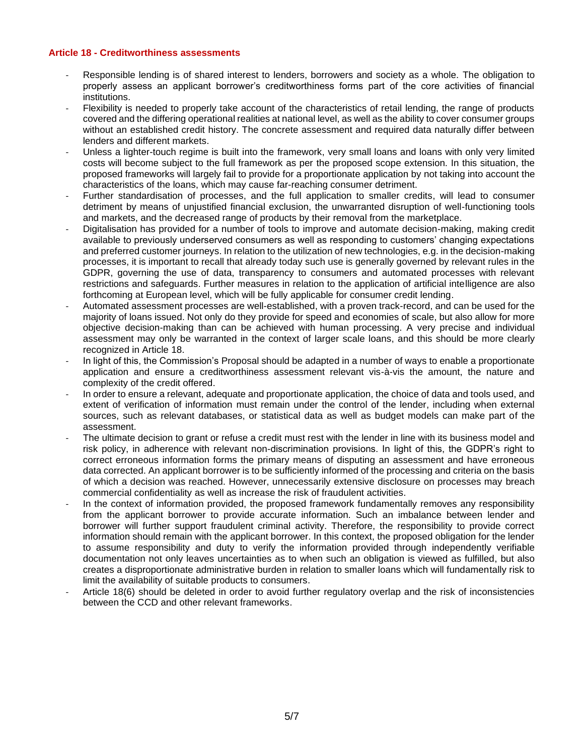#### **Article 18 - Creditworthiness assessments**

- Responsible lending is of shared interest to lenders, borrowers and society as a whole. The obligation to properly assess an applicant borrower's creditworthiness forms part of the core activities of financial institutions.
- Flexibility is needed to properly take account of the characteristics of retail lending, the range of products covered and the differing operational realities at national level, as well as the ability to cover consumer groups without an established credit history. The concrete assessment and required data naturally differ between lenders and different markets.
- Unless a lighter-touch regime is built into the framework, very small loans and loans with only very limited costs will become subject to the full framework as per the proposed scope extension. In this situation, the proposed frameworks will largely fail to provide for a proportionate application by not taking into account the characteristics of the loans, which may cause far-reaching consumer detriment.
- Further standardisation of processes, and the full application to smaller credits, will lead to consumer detriment by means of unjustified financial exclusion, the unwarranted disruption of well-functioning tools and markets, and the decreased range of products by their removal from the marketplace.
- Digitalisation has provided for a number of tools to improve and automate decision-making, making credit available to previously underserved consumers as well as responding to customers' changing expectations and preferred customer journeys. In relation to the utilization of new technologies, e.g. in the decision-making processes, it is important to recall that already today such use is generally governed by relevant rules in the GDPR, governing the use of data, transparency to consumers and automated processes with relevant restrictions and safeguards. Further measures in relation to the application of artificial intelligence are also forthcoming at European level, which will be fully applicable for consumer credit lending.
- Automated assessment processes are well-established, with a proven track-record, and can be used for the majority of loans issued. Not only do they provide for speed and economies of scale, but also allow for more objective decision-making than can be achieved with human processing. A very precise and individual assessment may only be warranted in the context of larger scale loans, and this should be more clearly recognized in Article 18.
- In light of this, the Commission's Proposal should be adapted in a number of ways to enable a proportionate application and ensure a creditworthiness assessment relevant vis-à-vis the amount, the nature and complexity of the credit offered.
- In order to ensure a relevant, adequate and proportionate application, the choice of data and tools used, and extent of verification of information must remain under the control of the lender, including when external sources, such as relevant databases, or statistical data as well as budget models can make part of the assessment.
- The ultimate decision to grant or refuse a credit must rest with the lender in line with its business model and risk policy, in adherence with relevant non-discrimination provisions. In light of this, the GDPR's right to correct erroneous information forms the primary means of disputing an assessment and have erroneous data corrected. An applicant borrower is to be sufficiently informed of the processing and criteria on the basis of which a decision was reached. However, unnecessarily extensive disclosure on processes may breach commercial confidentiality as well as increase the risk of fraudulent activities.
- In the context of information provided, the proposed framework fundamentally removes any responsibility from the applicant borrower to provide accurate information. Such an imbalance between lender and borrower will further support fraudulent criminal activity. Therefore, the responsibility to provide correct information should remain with the applicant borrower. In this context, the proposed obligation for the lender to assume responsibility and duty to verify the information provided through independently verifiable documentation not only leaves uncertainties as to when such an obligation is viewed as fulfilled, but also creates a disproportionate administrative burden in relation to smaller loans which will fundamentally risk to limit the availability of suitable products to consumers.
- Article 18(6) should be deleted in order to avoid further regulatory overlap and the risk of inconsistencies between the CCD and other relevant frameworks.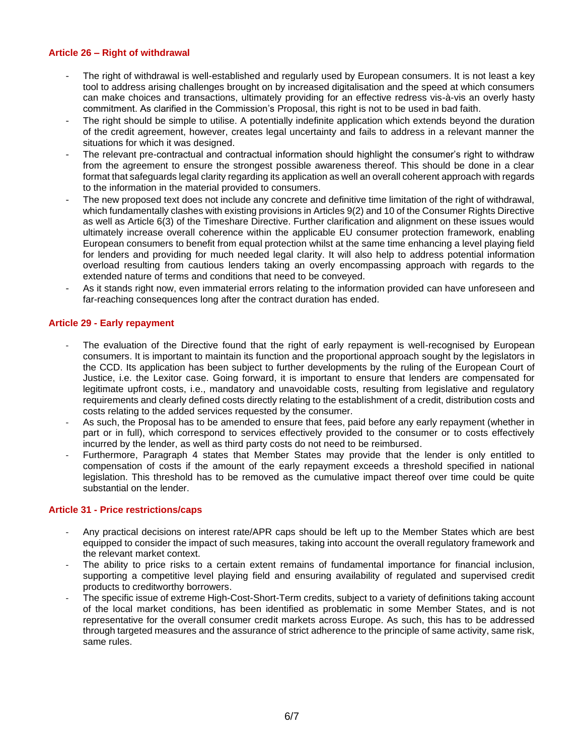# **Article 26 – Right of withdrawal**

- The right of withdrawal is well-established and regularly used by European consumers. It is not least a key tool to address arising challenges brought on by increased digitalisation and the speed at which consumers can make choices and transactions, ultimately providing for an effective redress vis-à-vis an overly hasty commitment. As clarified in the Commission's Proposal, this right is not to be used in bad faith.
- The right should be simple to utilise. A potentially indefinite application which extends beyond the duration of the credit agreement, however, creates legal uncertainty and fails to address in a relevant manner the situations for which it was designed.
- The relevant pre-contractual and contractual information should highlight the consumer's right to withdraw from the agreement to ensure the strongest possible awareness thereof. This should be done in a clear format that safeguards legal clarity regarding its application as well an overall coherent approach with regards to the information in the material provided to consumers.
- The new proposed text does not include any concrete and definitive time limitation of the right of withdrawal, which fundamentally clashes with existing provisions in Articles 9(2) and 10 of the Consumer Rights Directive as well as Article 6(3) of the Timeshare Directive. Further clarification and alignment on these issues would ultimately increase overall coherence within the applicable EU consumer protection framework, enabling European consumers to benefit from equal protection whilst at the same time enhancing a level playing field for lenders and providing for much needed legal clarity. It will also help to address potential information overload resulting from cautious lenders taking an overly encompassing approach with regards to the extended nature of terms and conditions that need to be conveyed.
- As it stands right now, even immaterial errors relating to the information provided can have unforeseen and far-reaching consequences long after the contract duration has ended.

# **Article 29 - Early repayment**

- The evaluation of the Directive found that the right of early repayment is well-recognised by European consumers. It is important to maintain its function and the proportional approach sought by the legislators in the CCD. Its application has been subject to further developments by the ruling of the European Court of Justice, i.e. the Lexitor case. Going forward, it is important to ensure that lenders are compensated for legitimate upfront costs, i.e., mandatory and unavoidable costs, resulting from legislative and regulatory requirements and clearly defined costs directly relating to the establishment of a credit, distribution costs and costs relating to the added services requested by the consumer.
- As such, the Proposal has to be amended to ensure that fees, paid before any early repayment (whether in part or in full), which correspond to services effectively provided to the consumer or to costs effectively incurred by the lender, as well as third party costs do not need to be reimbursed.
- Furthermore, Paragraph 4 states that Member States may provide that the lender is only entitled to compensation of costs if the amount of the early repayment exceeds a threshold specified in national legislation. This threshold has to be removed as the cumulative impact thereof over time could be quite substantial on the lender.

#### **Article 31 - Price restrictions/caps**

- Any practical decisions on interest rate/APR caps should be left up to the Member States which are best equipped to consider the impact of such measures, taking into account the overall regulatory framework and the relevant market context.
- The ability to price risks to a certain extent remains of fundamental importance for financial inclusion, supporting a competitive level playing field and ensuring availability of regulated and supervised credit products to creditworthy borrowers.
- The specific issue of extreme High-Cost-Short-Term credits, subject to a variety of definitions taking account of the local market conditions, has been identified as problematic in some Member States, and is not representative for the overall consumer credit markets across Europe. As such, this has to be addressed through targeted measures and the assurance of strict adherence to the principle of same activity, same risk, same rules.